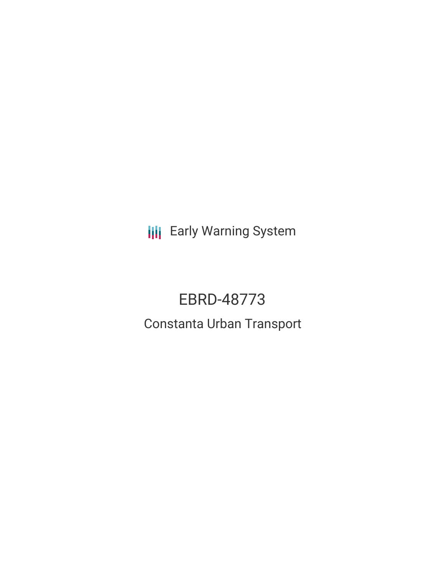**III** Early Warning System

# EBRD-48773 Constanta Urban Transport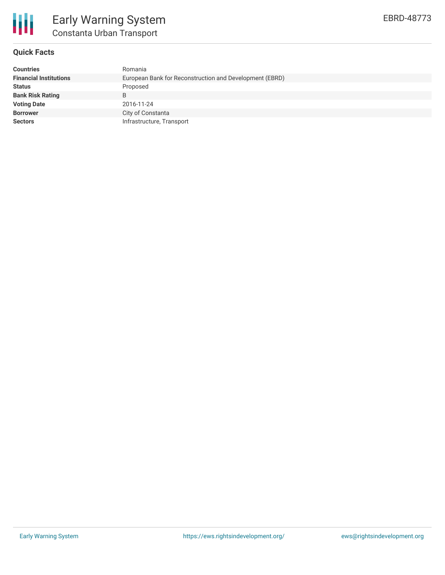

### **Quick Facts**

| <b>Countries</b>              | Romania                                                 |
|-------------------------------|---------------------------------------------------------|
| <b>Financial Institutions</b> | European Bank for Reconstruction and Development (EBRD) |
| <b>Status</b>                 | Proposed                                                |
| <b>Bank Risk Rating</b>       | B                                                       |
| <b>Voting Date</b>            | 2016-11-24                                              |
| <b>Borrower</b>               | City of Constanta                                       |
| <b>Sectors</b>                | Infrastructure, Transport                               |
|                               |                                                         |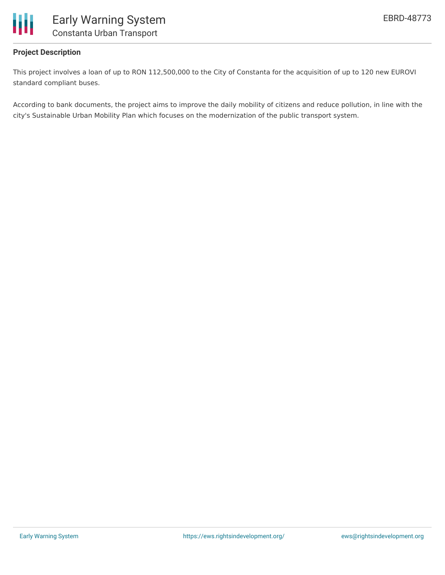

## **Project Description**

This project involves a loan of up to RON 112,500,000 to the City of Constanta for the acquisition of up to 120 new EUROVI standard compliant buses.

According to bank documents, the project aims to improve the daily mobility of citizens and reduce pollution, in line with the city's Sustainable Urban Mobility Plan which focuses on the modernization of the public transport system.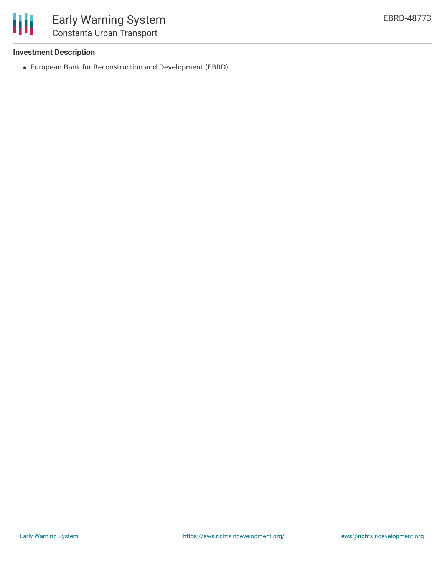

## **Investment Description**

European Bank for Reconstruction and Development (EBRD)